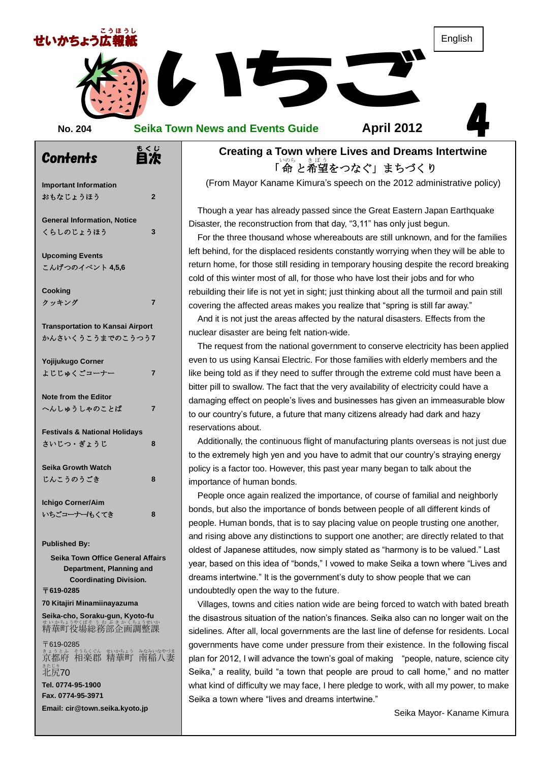

#### **No. 204 Seika Town News and**

**Events Guide April 2012**

| Contents                                                                                                    | もくじ            |
|-------------------------------------------------------------------------------------------------------------|----------------|
| <b>Important Information</b><br>おもなじょうほう                                                                    | $\overline{2}$ |
| <b>General Information, Notice</b><br>くらしのじょうほう                                                             | 3              |
| <b>Upcoming Events</b><br>こんげつのイベント 4.5.6                                                                   |                |
| Cooking<br>クッキング                                                                                            | 7              |
| <b>Transportation to Kansai Airport</b><br>かんさいくうこうまでのこうつう7                                                 |                |
| Yojijukugo Corner<br><b>よじじゅくごコーナー</b>                                                                      | 7              |
| <b>Note from the Editor</b><br>へんしゅうしゃのことば                                                                  | 7              |
| <b>Festivals &amp; National Holidays</b><br>さいじつ・ぎょうじ                                                       | 8              |
| <b>Seika Growth Watch</b>                                                                                   |                |
| じんこうのうごき                                                                                                    | 8              |
| Ichigo Corner/Aim                                                                                           |                |
| いちごコーナーんくてき                                                                                                 | 8              |
| <b>Published By:</b>                                                                                        |                |
| Seika Town Office General Affairs<br>Department, Planning and<br><b>Coordinating Division.</b><br>〒619-0285 |                |
| 70 Kitajiri Minamiinayazuma                                                                                 |                |
| Seika-cho, Soraku-gun, Kyoto-fu<br>#いかなうやくぼそうなぞきかくちょうせいか<br>精華町役場総務部企画調整課                                   | ちょうせいか         |
| 〒619-0285                                                                                                   |                |

まょうとふ もうくぐん むかあょう なみいなやづま<br>京都府 相楽郡 精華町 南稲八妻 <sub>きたじり</sub><br>北尻**70 Tel. 0774-95-1900 Fax. 0774-95-3971 Email: cir@town.seika.kyoto.jp**

**Creating a Town where Lives and Dreams intertwine**<br>「命と希望をつなぐ」まちづくり<br>(From Mayor Kaname Kimura's speech on the 2012 administrative policy) **Creating a Town where Lives and Dreams Intertwine** 「 命 いのち と希望 き ぼ う をつなぐ」まちづくり

Though a year has already passed since the Great Eastern Japan Earthquake<br>saster, the reconstruction from that day, "3,11" has only just begun. Disaster, the reconstruction from that day, "3,11" has only just begun.

be able to<br>rd breaking<br>ho For the three thousand whose whereabouts are still unknown, and for the families left behind, for the displaced residents constantly worrying when they will be able to return home, for those still residing in temporary housing despite the record breaking cold of this winter most of all, for those who have lost their jobs and for who rebuilding their life is not yet in sight; just thinking about all the turmoil and pain still covering the affected areas makes you realize that "spring is still far away."

And it is not just the areas affected by the natural disasters. Effects from the nuclear disaster are being felt nation-wide.

The request from the national government to conserve electricity has been applied even to us using Kansai Electric. For those families with elderly members and the like being told as if they need to suffer through the extreme cold must have been a bitter pill to swallow. The fact that the very availability of electricity could have a damaging effect on people's lives and businesses has given an immeasurable blow to our country's future, a future that many citizens already had dark and hazy reservations about.

Additionally, the continuous flight of manufacturing plants overseas is not just due to the extremely high yen and you have to admit that our country's straying energy policy is a factor too. However, this past year many began to talk about the importance of human bonds.

People once again realized the importance, of course of familial and neighborly bonds, but also the importance of bonds between people of all different kinds of people. Human bonds, that is to say placing value on people trusting one another, and rising above any distinctions to support one another; are directly related to that oldest of Japanese attitudes, now simply stated as "harmony is to be valued." Last year, based on this idea of "bonds," I vowed to make Seika a town where "Lives and dreams intertwine." It is the government's duty to show people that we can undoubtedly open the way to the future.

Villages, towns and cities nation wide are being forced to watch with bated breath the disastrous situation of the nation's finances. Seika also can no longer wait on the sidelines. After all, local governments are the last line of defense for residents. Local governments have come under pressure from their existence. In the following fiscal plan for 2012, I will advance the town's goal of making "people, nature, science city Seika," a reality, build "a town that people are proud to call home," and no matter what kind of difficulty we may face, I here pledge to work, with all my power, to make Seika a town where "lives and dreams intertwine."

Seika Mayor- Kaname Kimura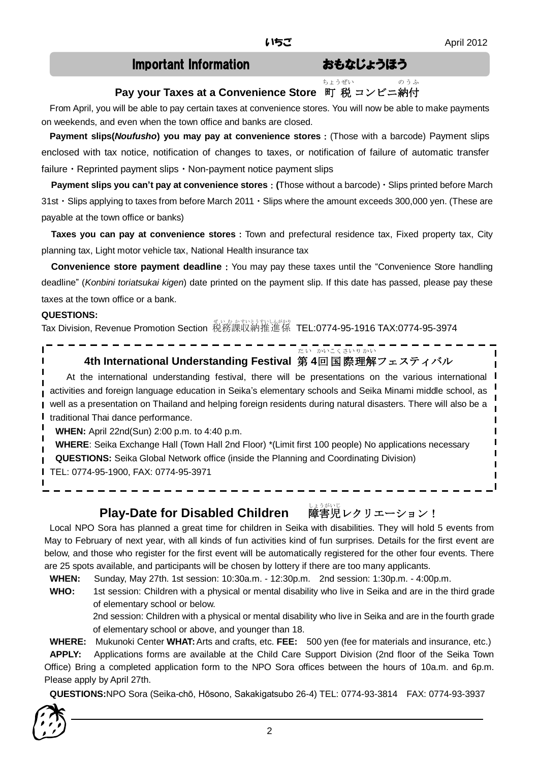# Important Information おもなじょうほう

のらな

ちょうぜい

#### **Pay your Taxes at a Convenience Store** 町 税 コンビニ納付

From April, you will be able to pay certain taxes at convenience stores. You will now be able to make payments on weekends, and even when the town office and banks are closed.

**Payment slips(***Noufusho***) you may pay at convenience stores**:(Those with a barcode) Payment slips enclosed with tax notice, notification of changes to taxes, or notification of failure of automatic transfer failure  $\cdot$  Reprinted payment slips  $\cdot$  Non-payment notice payment slips

**Payment slips you can't pay at convenience stores**:**(**Those without a barcode)・Slips printed before March 31st・Slips applying to taxes from before March 2011・Slips where the amount exceeds 300,000 yen. (These are payable at the town office or banks)

**Taxes you can pay at convenience stores**: Town and prefectural residence tax, Fixed property tax, City planning tax, Light motor vehicle tax, National Health insurance tax

**Convenience store payment deadline**: You may pay these taxes until the "Convenience Store handling deadline" (*Konbini toriatsukai kigen*) date printed on the payment slip. If this date has passed, please pay these taxes at the town office or a bank.

#### **QUESTIONS:**

Tax Division, Revenue Promotion Section 税務課収納推進係 TEL:0774-95-1916 TAX:0774-95-3974

#### **4th International Understanding Festival** 第 **4** 回 国際 理解 フェスティバル だい かいこくさいりかい

At the international understanding festival, there will be presentations on the various international **I** activities and foreign language education in Seika's elementary schools and Seika Minami middle school, as well as a presentation on Thailand and helping foreign residents during natural disasters. There will also be a п ı traditional Thai dance performance.

**WHEN:** April 22nd(Sun) 2:00 p.m. to 4:40 p.m.

**WHERE**: Seika Exchange Hall (Town Hall 2nd Floor) \*(Limit first 100 people) No applications necessary

**QUESTIONS:** Seika Global Network office (inside the Planning and Coordinating Division)

TEL: 0774-95-1900, FAX: 0774-95-3971

# **Play-Date for Disabled Children**

<sub>しょうがいじ</sub><br><mark>障害児レクリエーション!</mark>

Local NPO Sora has planned a great time for children in Seika with disabilities. They will hold 5 events from May to February of next year, with all kinds of fun activities kind of fun surprises. Details for the first event are below, and those who register for the first event will be automatically registered for the other four events. There are 25 spots available, and participants will be chosen by lottery if there are too many applicants.

**WHEN:** Sunday, May 27th. 1st session: 10:30a.m. - 12:30p.m. 2nd session: 1:30p.m. - 4:00p.m.

**WHO:** 1st session: Children with a physical or mental disability who live in Seika and are in the third grade of elementary school or below.

2nd session: Children with a physical or mental disability who live in Seika and are in the fourth grade of elementary school or above, and younger than 18.

**WHERE:** Mukunoki Center **WHAT:**Arts and crafts, etc. **FEE:** 500 yen (fee for materials and insurance, etc.)

**APPLY:** Applications forms are available at the Child Care Support Division (2nd floor of the Seika Town Office) Bring a completed application form to the NPO Sora offices between the hours of 10a.m. and 6p.m. Please apply by April 27th.

**QUESTIONS:**NPO Sora (Seika-chō, Hōsono, Sakakigatsubo 26-4) TEL: 0774-93-3814 FAX: 0774-93-3937

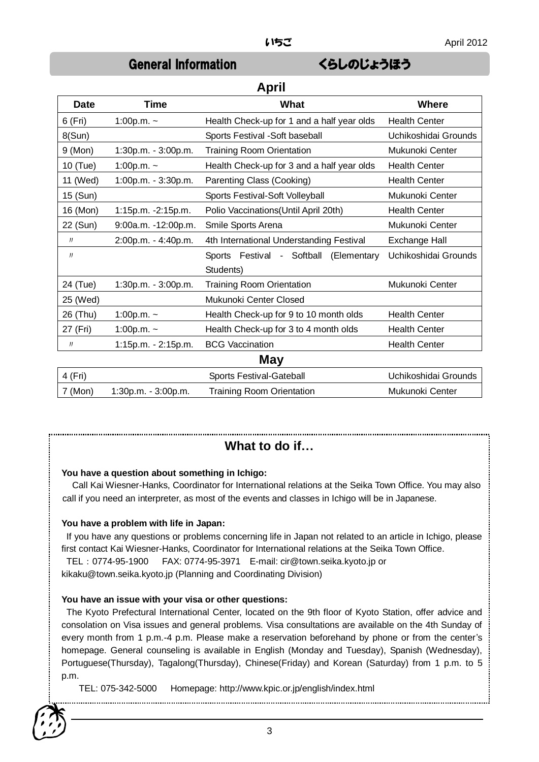**April**

# General Information くらしのじょうほう

| <b>Date</b> | Time                 | <b>What</b>                                                        | <b>Where</b>         |  |
|-------------|----------------------|--------------------------------------------------------------------|----------------------|--|
| 6 (Fri)     | 1:00p.m. $\sim$      | Health Check-up for 1 and a half year olds                         | <b>Health Center</b> |  |
| 8(Sun)      |                      | Sports Festival -Soft baseball                                     | Uchikoshidai Grounds |  |
| 9 (Mon)     | $1:30p.m. -3:00p.m.$ | <b>Training Room Orientation</b>                                   | Mukunoki Center      |  |
| 10 (Tue)    | 1:00p.m. $\sim$      | Health Check-up for 3 and a half year olds<br><b>Health Center</b> |                      |  |
| 11 (Wed)    | 1:00p.m. - 3:30p.m.  | Parenting Class (Cooking)                                          | <b>Health Center</b> |  |
| 15 (Sun)    |                      | Sports Festival-Soft Volleyball                                    | Mukunoki Center      |  |
| 16 (Mon)    | 1:15p.m. -2:15p.m.   | Polio Vaccinations (Until April 20th)                              | <b>Health Center</b> |  |
| 22 (Sun)    | 9:00a.m. -12:00p.m.  | Smile Sports Arena                                                 | Mukunoki Center      |  |
| J           | 2:00p.m. - 4:40p.m.  | 4th International Understanding Festival                           | Exchange Hall        |  |
| J           |                      | Sports Festival - Softball (Elementary                             | Uchikoshidai Grounds |  |
|             |                      | Students)                                                          |                      |  |
| 24 (Tue)    | 1:30p.m. - 3:00p.m.  | <b>Training Room Orientation</b>                                   | Mukunoki Center      |  |
| 25 (Wed)    |                      | Mukunoki Center Closed                                             |                      |  |
| 26 (Thu)    | 1:00p.m. $\sim$      | Health Check-up for 9 to 10 month olds                             | <b>Health Center</b> |  |
| 27 (Fri)    | 1:00p.m. $\sim$      | <b>Health Center</b><br>Health Check-up for 3 to 4 month olds      |                      |  |
| IJ          | 1:15p.m. - 2:15p.m.  | <b>BCG Vaccination</b>                                             | <b>Health Center</b> |  |
| May         |                      |                                                                    |                      |  |
| 4 (Fri)     |                      | Sports Festival-Gateball<br>Uchikoshidai Grounds                   |                      |  |
| 7 (Mon)     | 1:30p.m. - 3:00p.m.  | <b>Training Room Orientation</b><br>Mukunoki Center                |                      |  |

#### **What to do if…**

#### **You have a question about something in Ichigo:**

Call Kai Wiesner-Hanks, Coordinator for International relations at the Seika Town Office. You may also call if you need an interpreter, as most of the events and classes in Ichigo will be in Japanese.

#### **You have a problem with life in Japan:**

If you have any questions or problems concerning life in Japan not related to an article in Ichigo, please first contact Kai Wiesner-Hanks, Coordinator for International relations at the Seika Town Office.

TEL:0774-95-1900 FAX: 0774-95-3971 E-mail: cir@town.seika.kyoto.jp or kikaku@town.seika.kyoto.jp (Planning and Coordinating Division)

#### **You have an issue with your visa or other questions:**

The Kyoto Prefectural International Center, located on the 9th floor of Kyoto Station, offer advice and consolation on Visa issues and general problems. Visa consultations are available on the 4th Sunday of every month from 1 p.m.-4 p.m. Please make a reservation beforehand by phone or from the center's homepage. General counseling is available in English (Monday and Tuesday), Spanish (Wednesday), Portuguese(Thursday), Tagalong(Thursday), Chinese(Friday) and Korean (Saturday) from 1 p.m. to 5 p.m.

TEL: 075-342-5000 Homepage: http://www.kpic.or.jp/english/index.html

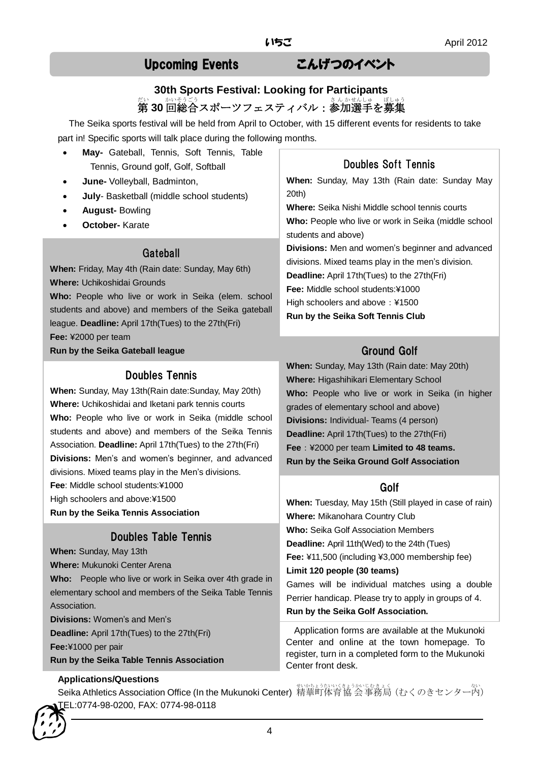# Upcoming Events こんげつのイベント

# **30th Sports Festival: Looking for Participants** 称<br>**第 30** 回総合スポーツフェスティバル:参加選手を募集

The Seika sports festival will be held from April to October, with 15 different events for residents to take part in! Specific sports will talk place during the following months.

- **May-** Gateball, Tennis, Soft Tennis, Table Tennis, Ground golf, Golf, Softball
- **June-** Volleyball, Badminton,
- **July** Basketball (middle school students)
- **August-** Bowling
- **October-** Karate

#### **Gateball**

**When:** Friday, May 4th (Rain date: Sunday, May 6th) **Where:** Uchikoshidai Grounds

**Who:** People who live or work in Seika (elem. school students and above) and members of the Seika gateball league. **Deadline:** April 17th(Tues) to the 27th(Fri) **Fee:** ¥2000 per team

**Run by the Seika Gateball league**

#### Doubles Tennis

**When:** Sunday, May 13th(Rain date:Sunday, May 20th) **Where:** Uchikoshidai and Iketani park tennis courts **Who:** People who live or work in Seika (middle school students and above) and members of the Seika Tennis Association. **Deadline:** April 17th(Tues) to the 27th(Fri) **Divisions:** Men's and women's beginner, and advanced divisions. Mixed teams play in the Men's divisions. **Fee**: Middle school students:¥1000 High schoolers and above:¥1500 **Run by the Seika Tennis Association**

#### Doubles Table Tennis

**When:** Sunday, May 13th

**Where:** Mukunoki Center Arena

**Who:** People who live or work in Seika over 4th grade in elementary school and members of the Seika Table Tennis Association.

**Divisions:** Women's and Men's

**Deadline:** April 17th(Tues) to the 27th(Fri)

**Fee:**¥1000 per pair

#### **Run by the Seika Table Tennis Association**

#### **Applications/Questions**



**When:** Sunday, May 13th (Rain date: Sunday May 20th)

**Where:** Seika Nishi Middle school tennis courts **Who:** People who live or work in Seika (middle school students and above) **Divisions:** Men and women's beginner and advanced divisions. Mixed teams play in the men's division. **Deadline:** April 17th(Tues) to the 27th(Fri)

**Fee:** Middle school students:¥1000

High schoolers and above: ¥1500

**Run by the Seika Soft Tennis Club** 

#### Ground Golf

**When:** Sunday, May 13th (Rain date: May 20th) **Where:** Higashihikari Elementary School **Who:** People who live or work in Seika (in higher grades of elementary school and above) **Divisions:** Individual- Teams (4 person) **Deadline:** April 17th(Tues) to the 27th(Fri) **Fee**:¥2000 per team **Limited to 48 teams. Run by the Seika Ground Golf Association**

#### Golf

**When:** Tuesday, May 15th (Still played in case of rain) **Where:** Mikanohara Country Club **Who:** Seika Golf Association Members **Deadline:** April 11th(Wed) to the 24th (Tues) **Fee:** ¥11,500 (including ¥3,000 membership fee) **Limit 120 people (30 teams)** Games will be individual matches using a double Perrier handicap. Please try to apply in groups of 4.

**Run by the Seika Golf Association.**

Application forms are available at the Mukunoki Center and online at the town homepage. To register, turn in a completed form to the Mukunoki Center front desk.

・・<br>Seika Athletics Association Office (In the Mukunoki Center) 精華町体育協 会 事務局 (むくのきセンター内) TEL:0774-98-0200, FAX: 0774-98-0118

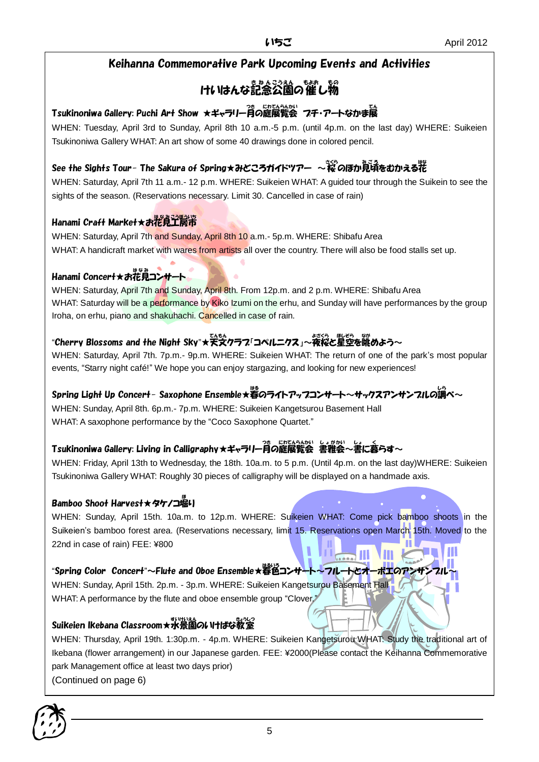## Keihanna Commemorative Park Upcoming Events and Activities

# けいはんな記念公園の催し物

# Tsukinoniwa Gallery: Puchi Art Show ★ギャラリー月の庭展覧会 フチ・アートなかま展

WHEN: Tuesday, April 3rd to Sunday, April 8th 10 a.m.-5 p.m. (until 4p.m. on the last day) WHERE: Suikeien Tsukinoniwa Gallery WHAT: An art show of some 40 drawings done in colored pencil.

# See the Sights Tour- The Sakura of Spring★みどころガイドツアー ~桜のほか見頃をむかえる花

WHEN: Saturday, April 7th 11 a.m.- 12 p.m. WHERE: Suikeien WHAT: A guided tour through the Suikein to see the sights of the season. (Reservations necessary. Limit 30. Cancelled in case of rain)

#### Hanami Craft Market★お花見工房市

WHEN: Saturday, April 7th and Sunday, April 8th 10 a.m.- 5p.m. WHERE: Shibafu Area WHAT: A handicraft market with wares from artists all over the country. There will also be food stalls set up.

### Hanami Concert★お花見コンサート

WHEN: Saturday, April 7th and Sunday, April 8th. From 12p.m. and 2 p.m. WHERE: Shibafu Area WHAT: Saturday will be a performance by Kiko Izumi on the erhu, and Sunday will have performances by the group Iroha, on erhu, piano and shakuhachi. Cancelled in case of rain.

# "Cherry Blossoms and the Night Sky"★天文クラフ「コペルニクス」~--<br>→ 『女桜と星空を眺めよう~

WHEN: Saturday, April 7th. 7p.m.- 9p.m. WHERE: Suikeien WHAT: The return of one of the park's most popular events, "Starry night café!" We hope you can enjoy stargazing, and looking for new experiences!

#### Spring Light Up Concert- Saxophone Ensemble★暮のライトアップコンサート~サックスアンサンフルの調 べ~

WHEN: Sunday, April 8th. 6p.m.- 7p.m. WHERE: Suikeien Kangetsurou Basement Hall WHAT: A saxophone performance by the "Coco Saxophone Quartet."

## Tsukinoniwa Gallery: Living in Calligraphy★ギャラリー月の庭展覧会 書雅会~書に暮らす~

WHEN: Friday, April 13th to Wednesday, the 18th. 10a.m. to 5 p.m. (Until 4p.m. on the last day)WHERE: Suikeien Tsukinoniwa Gallery WHAT: Roughly 30 pieces of calligraphy will be displayed on a handmade axis.

### Bamboo Shoot Harvest★タケノコ堀り

WHEN: Sunday, April 15th. 10a.m. to 12p.m. WHERE: Suikeien WHAT: Come pick bamboo shoots in the Suikeien's bamboo forest area. (Reservations necessary, limit 15. Reservations open March 15th. Moved to the 22nd in case of rain) FEE: ¥800

#### "Spring Color Concert"~Flute and Oboe Ensemble★暮色コンサート~フルートとオーボエのアンサンフル~

WHEN: Sunday, April 15th. 2p.m. - 3p.m. WHERE: Suikeien Kangetsurou Basement Hall WHAT: A performance by the flute and oboe ensemble group "Clover."

### Suikeien Ikebana Classroom★水景園 すいけいえん のいけばな教室 きょうしつ

WHEN: Thursday, April 19th. 1:30p.m. - 4p.m. WHERE: Suikeien Kangetsurou WHAT: Study the traditional art of Ikebana (flower arrangement) in our Japanese garden. FEE: ¥2000(Please contact the Keihanna Commemorative park Management office at least two days prior) (Continued on page 6)

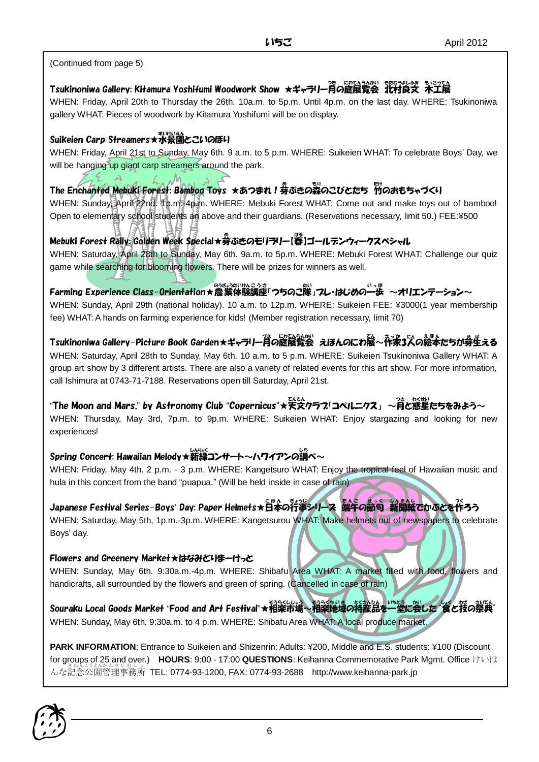#### (Continued from page 5)

#### Tsukinoniwa Gallery: Kitamura Yoshifumi Woodwork Show ★ギャラリー月の庭展覧会 北村良文 木工展

WHEN: Friday, April 20th to Thursday the 26th. 10a.m. to 5p.m. Until 4p.m. on the last day. WHERE: Tsukinoniwa gallery WHAT: Pieces of woodwork by Kitamura Yoshifumi will be on display.

### Suikeien Carp Streamers★水景園 すいけいえん とこいのぼり

WHEN: Friday, April 21st to Sunday, May 6th. 9 a.m. to 5 p.m. WHERE: Suikeien WHAT: To celebrate Boys' Day, we will be hanging up giant carp streamers around the park.

# The Enchanted Mebuki Forest: Bamboo Toys ★あつまれ!券ぶきの蒸のこびとたち 竹のおもちゃづくり

WHEN: Sunday, April 22nd. 1p.m.-4p.m. WHERE: Mebuki Forest WHAT: Come out and make toys out of bamboo! Open to elementary school students and above and their guardians. (Reservations necessary, limit 50.) FEE:¥500

#### Mebuki Forest R<mark>ally:</mark>Golden Week Special★券ぶきのモリラリー【春】ゴールテンウィークスペシャル

WHEN: Saturday, April 28th to Sunday, May 6th. 9a.m. to 5p.m. WHERE: Mebuki Forest WHAT: Challenge our quiz game while searching for blooming flowers. There will be prizes for winners as well.

# Farming Experience Class-Orientation★農業体験講座「つちのこ隊」フレ・はじめの一歩 〜オリエンテーション〜

WHEN: Sunday, April 29th (national holiday). 10 a.m. to 12p.m. WHERE: Suikeien FEE: ¥3000(1 year membership fee) WHAT: A hands on farming experience for kids! (Member registration necessary, limit 70)

# Tsukinoniwa Gallery-Picture Book Garden★ギャラリー賞の庭展覧会 えほんのにわ展~作家3人の絵本たちが券生える

WHEN: Saturday, April 28th to Sunday, May 6th. 10 a.m. to 5 p.m. WHERE: Suikeien Tsukinoniwa Gallery WHAT: A group art show by 3 different artists. There are also a variety of related events for this art show. For more information, call Ishimura at 0743-71-7188. Reservations open till Saturday, April 21st.

### "The Moon and Mars," by Astronomy Club "Copernicus"★天文クラフ「コペルニクス」 〜湾と惑星たちをみよう〜

WHEN: Thursday, May 3rd, 7p.m. to 9p.m. WHERE: Suikeien WHAT: Enjoy stargazing and looking for new experiences!

## Spring Concert: Hawaiian Melody★新緑 しんりょく コンサート~ハワイアンの調 しら べ~

WHEN: Friday, May 4th. 2 p.m. - 3 p.m. WHERE: Kangetsuro WHAT: Enjoy the tropical feel of Hawaiian music and hula in this concert from the band "puapua." (Will be held inside in case of rain)

# Japanese Festival Series-Boys' Day: Paper Helmets★日本の行事シリース 端午の節句 新聞紙でかぶとを作ろう

WHEN: Saturday, May 5th, 1p.m.-3p.m. WHERE: Kangetsurou WHAT: Make helmets out of newspapers to celebrate Boys' day.

#### Flowers and Greenery Market★はなみどりまーけっと

WHEN: Sunday, May 6th. 9:30a.m.-4p.m. WHERE: Shibafu Area WHAT: A market filled with food, flowers and handicrafts, all surrounded by the flowers and green of spring. (Cancelled in case of rain)

#### <u>Sas<buad Sons and Art Festival"★相楽市場~相楽地域の特産品を一堂に会した</u>"食 しく <u>がもいてん</u><br>「食と技の祭典」 WHEN: Sunday, May 6th. 9:30a.m. to 4 p.m. WHERE: Shibafu Area WHAT: A local produce market.

**PARK INFORMATION**: Entrance to Suikeien and Shizenrin: Adults: ¥200, Middle and E.S. students: ¥100 (Discount for groups of 25 and over.) **HOURS**: 9:00 - 17:00 **QUESTIONS**: Keihanna Commemorative Park Mgmt. Office けいは 。<br>んな記念公園管理事務所 TEL: 0774-93-1200, FAX: 0774-93-2688 http://www.keihanna-park.jp

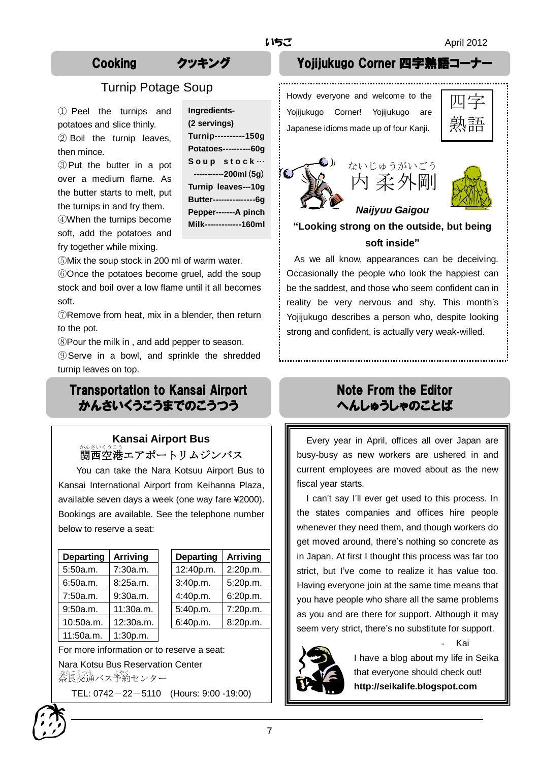#### Turnip Potage Soup

① Peel the turnips and potatoes and slice thinly. ② Boil the turnip leaves, then mince.

③Put the butter in a pot over a medium flame. As the butter starts to melt, put the turnips in and fry them. ④When the turnips become

soft, add the potatoes and fry together while mixing.

**Ingredients- (2 servings) Turnip----------150g Potatoes----------60g** Soup stock ... **-----------200ml**(**5g**) **Turnip leaves---10g Butter---------------6g Pepper-------A pinch Milk-------------160ml**

⑤Mix the soup stock in 200 ml of warm water.

⑥Once the potatoes become gruel, add the soup stock and boil over a low flame until it all becomes soft.

⑦Remove from heat, mix in a blender, then return to the pot.

⑧Pour the milk in , and add pepper to season.

⑨Serve in a bowl, and sprinkle the shredded turnip leaves on top.

# Transportation to Kansai Airport かんさいくうこうまでのこうつう

### **Kansai Airport Bus** ゕんきいくうこう。<br>関西空港エアポートリムジンバス

You can take the Nara Kotsuu Airport Bus to Kansai International Airport from Keihanna Plaza, available seven days a week (one way fare ¥2000). Bookings are available. See the telephone number below to reserve a seat:

| <b>Departing</b> | <b>Arriving</b> | <b>Departing</b> | Arriving |
|------------------|-----------------|------------------|----------|
| 5:50a.m.         | 7:30a.m.        | 12:40p.m.        | 2:20p.m. |
| 6:50a.m.         | 8:25a.m.        | 3:40p.m.         | 5:20p.m. |
| 7:50a.m.         | 9:30a.m.        | 4:40p.m.         | 6:20p.m. |
| 9:50a.m.         | 11:30a.m.       | 5:40p.m.         | 7:20p.m. |
| 10:50a.m.        | 12:30a.m.       | 6:40p.m.         | 8:20p.m. |
| 11:50a.m.        | 1:30p.m.        |                  |          |

| <b>Departing</b> | <b>Arriving</b> |
|------------------|-----------------|
| 12:40p.m.        | 2:20p.m.        |
| 3:40p.m.         | 5:20p.m.        |
| 4:40p.m.         | 6:20p.m.        |
| 5:40p.m.         | 7:20p.m.        |
| 6:40p.m.         | 8:20p.m.        |
|                  |                 |

For more information or to reserve a seat: Nara Kotsu Bus Reservation Center をらえる。<br>奈良交通バス予約センター

TEL: 0742-22-5110 (Hours: 9:00 -19:00)

# Cooking クッキング Yojijukugo Corner 四字熟語コーナー

Howdy everyone and welcome to the Yojijukugo Corner! Yojijukugo are Japanese idioms made up of four Kanji.

| ≘<br>亩台 |  |
|---------|--|





# **"Looking strong on the outside, but being soft inside"**

*Naijyuu Gaigou*

As we all know, appearances can be deceiving. Occasionally the people who look the happiest can be the saddest, and those who seem confident can in reality be very nervous and shy. This month's Yojijukugo describes a person who, despite looking strong and confident, is actually very weak-willed.

# Note From the Editor へんしゅうしゃのことば

Every year in April, offices all over Japan are busy-busy as new workers are ushered in and current employees are moved about as the new fiscal year starts.

I can't say I'll ever get used to this process. In the states companies and offices hire people whenever they need them, and though workers do get moved around, there's nothing so concrete as in Japan. At first I thought this process was far too strict, but I've come to realize it has value too. Having everyone join at the same time means that you have people who share all the same problems as you and are there for support. Although it may seem very strict, there's no substitute for support.



I have a blog about my life in Seika that everyone should check out! **http://seikalife.blogspot.com**

- Kai